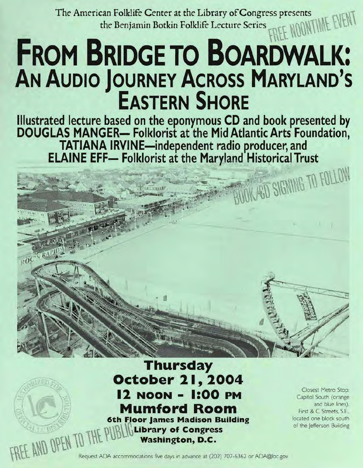The American Folklife Center at the Library of Congress presents **the Benjamin Botkin Folklife Lecture Series** 

## **FROM BRIDGE TO BOARDWALK: AN AUDIO JOURNEY ACROSS MARYLAND'S EASTERN SHORE**

**Illustrated lecture based on the eponymous CD and book presented by DOUGLAS MANGER- Folklorist at the Mid Atlantic Arts Foundation,**  TATIANA IRVINE—independent radio producer, and<br>ELAINE EFF— Folklorist at the Maryland Historical Trust



## **Thursday October 2 1 , 2004 12 NOON - 1:00 PM Mumford Room 6th Floor James Madison Building <br>
Washington, D.C. <br>
Washington, D.C.**

~ .,

 $\mathbb{R}^n$  . ~

Closest Metro Stop: Capitol South (orange and blue lines), First & C Streets. S.E.. located one block south of the Jefferson Building

Request ADA accommodations five days in advance at (202) 707-6362 or ADA@loc.gov